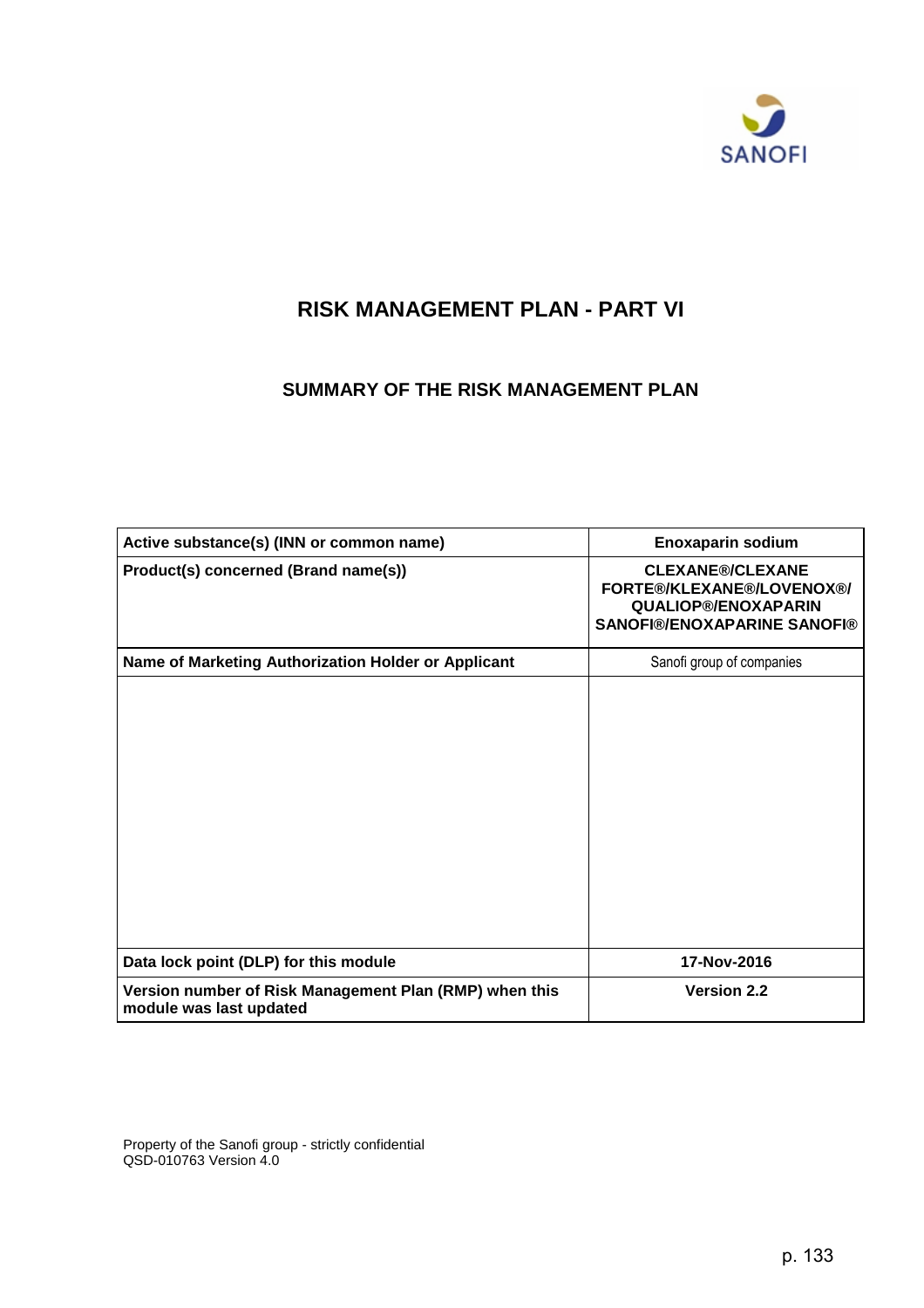

# **RISK MANAGEMENT PLAN - PART VI**

## **SUMMARY OF THE RISK MANAGEMENT PLAN**

| Active substance(s) (INN or common name)                                          | <b>Enoxaparin sodium</b>                                                                                                 |
|-----------------------------------------------------------------------------------|--------------------------------------------------------------------------------------------------------------------------|
| Product(s) concerned (Brand name(s))                                              | <b>CLEXANE®/CLEXANE</b><br>FORTE®/KLEXANE®/LOVENOX®/<br><b>QUALIOP®/ENOXAPARIN</b><br><b>SANOFI®/ENOXAPARINE SANOFI®</b> |
| Name of Marketing Authorization Holder or Applicant                               | Sanofi group of companies                                                                                                |
|                                                                                   |                                                                                                                          |
| Data lock point (DLP) for this module                                             | 17-Nov-2016                                                                                                              |
| Version number of Risk Management Plan (RMP) when this<br>module was last updated | <b>Version 2.2</b>                                                                                                       |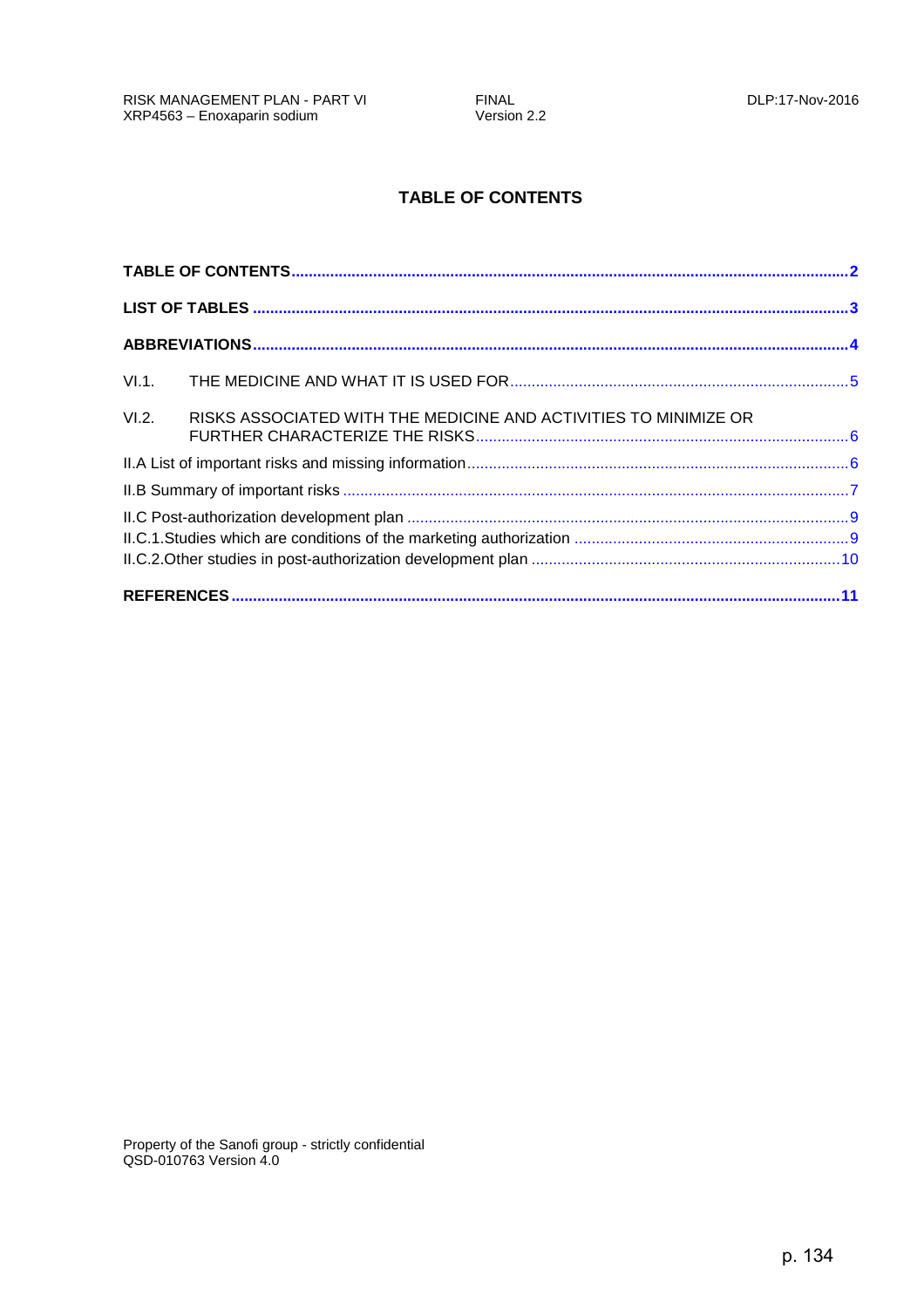## **TABLE OF CONTENTS**

<span id="page-1-0"></span>

| VI.2. |  |
|-------|--|
|       |  |
|       |  |
|       |  |
|       |  |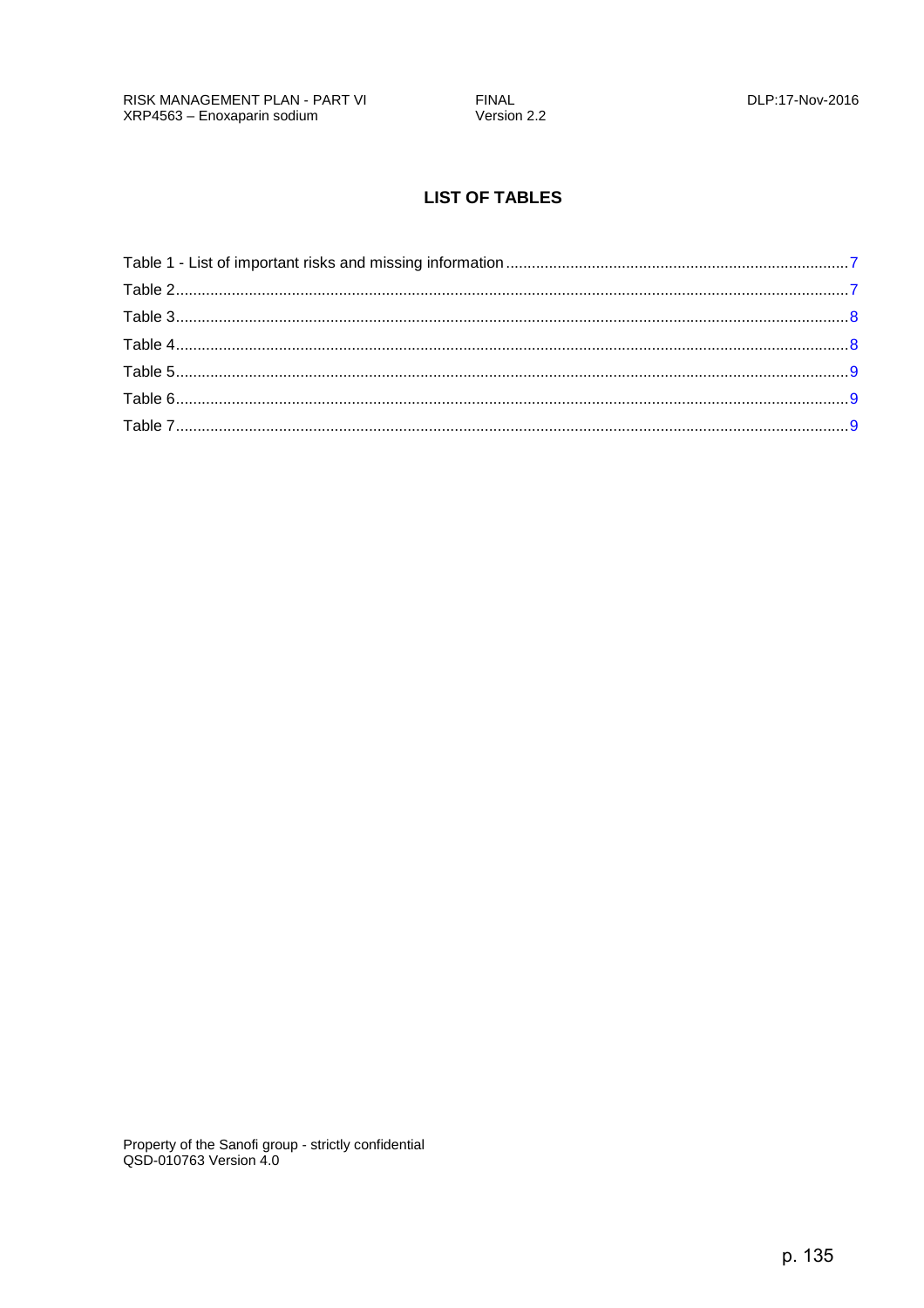## **LIST OF TABLES**

<span id="page-2-0"></span>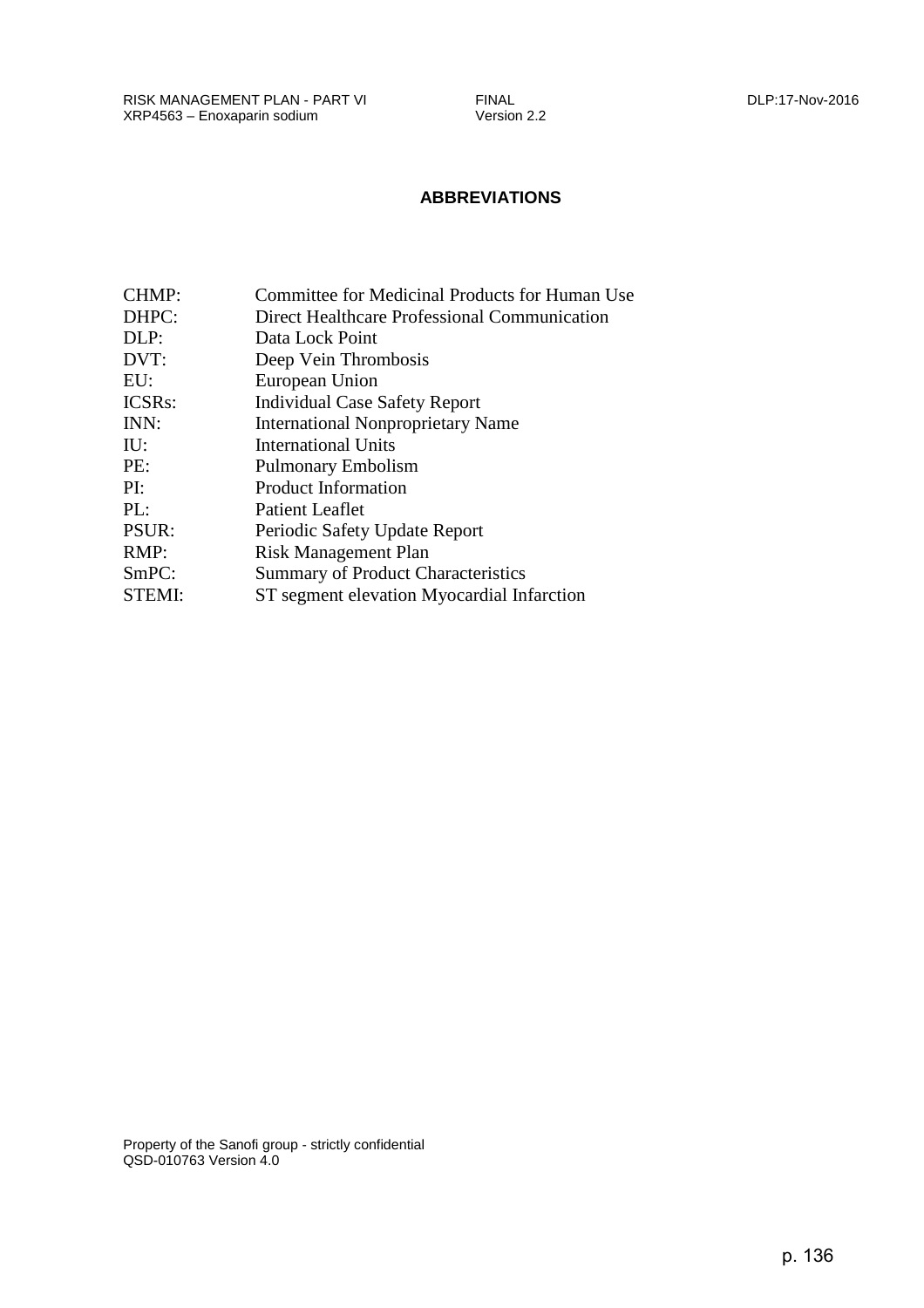<span id="page-3-0"></span>RISK MANAGEMENT PLAN - PART VI FINAL DLP:17-Nov-2016 XRP4563 – Enoxaparin sodium

### **ABBREVIATIONS**

| <b>CHMP:</b> | Committee for Medicinal Products for Human Use |
|--------------|------------------------------------------------|
| DHPC:        | Direct Healthcare Professional Communication   |
| DLP:         | Data Lock Point                                |
| DVT:         | Deep Vein Thrombosis                           |
| EU:          | European Union                                 |
| ICSRs:       | <b>Individual Case Safety Report</b>           |
| INN:         | <b>International Nonproprietary Name</b>       |
| IU:          | <b>International Units</b>                     |
| PE:          | <b>Pulmonary Embolism</b>                      |
| PI:          | Product Information                            |
| PL:          | <b>Patient Leaflet</b>                         |
| PSUR:        | Periodic Safety Update Report                  |
| RMP:         | <b>Risk Management Plan</b>                    |
| SmPC:        | <b>Summary of Product Characteristics</b>      |
| STEMI:       | ST segment elevation Myocardial Infarction     |
|              |                                                |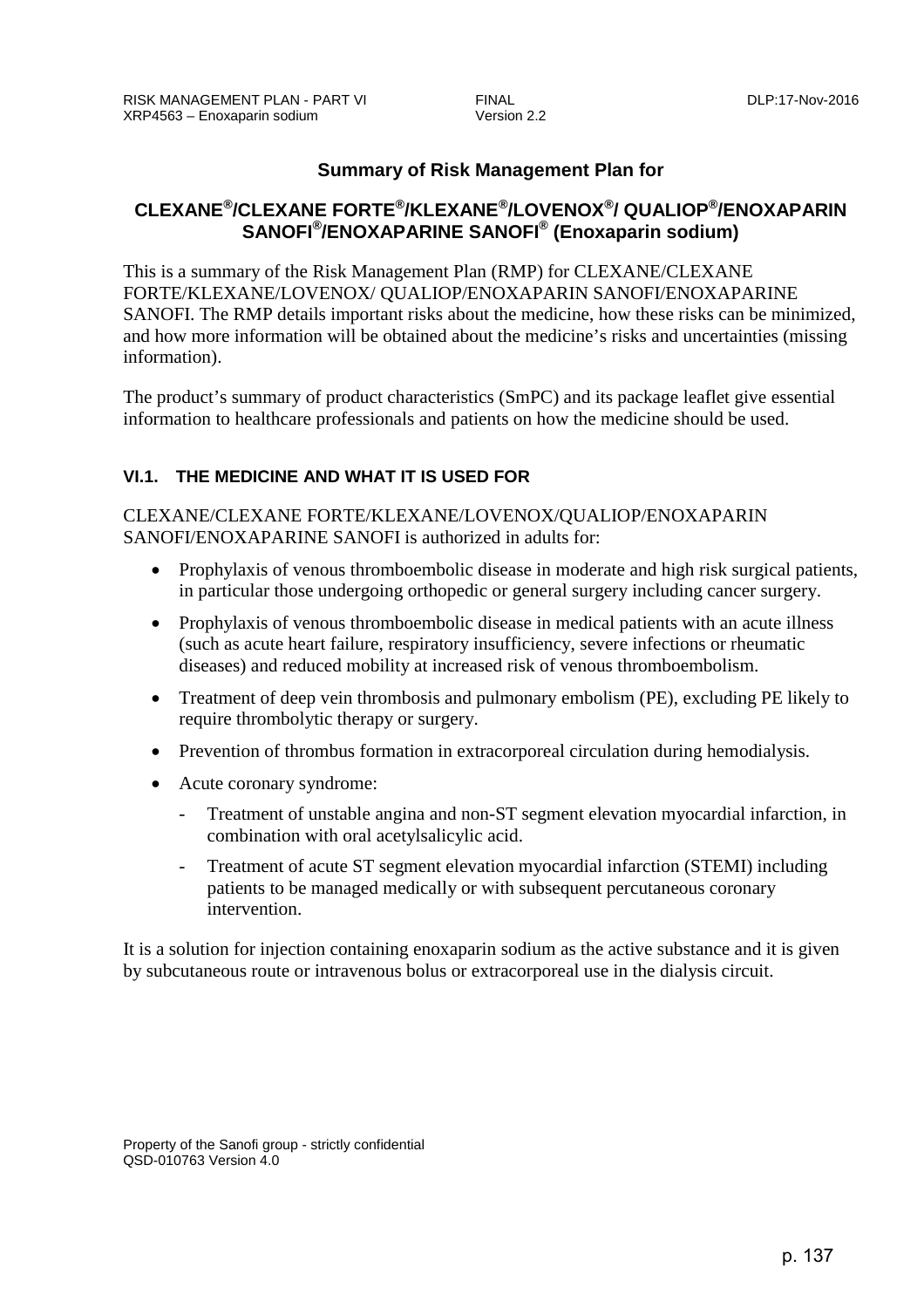## **Summary of Risk Management Plan for**

## <span id="page-4-0"></span>**CLEXANE®/CLEXANE FORTE®/KLEXANE®/LOVENOX®/ QUALIOP®/ENOXAPARIN SANOFI®/ENOXAPARINE SANOFI® (Enoxaparin sodium)**

This is a summary of the Risk Management Plan (RMP) for CLEXANE/CLEXANE FORTE/KLEXANE/LOVENOX/ QUALIOP/ENOXAPARIN SANOFI/ENOXAPARINE SANOFI. The RMP details important risks about the medicine, how these risks can be minimized, and how more information will be obtained about the medicine's risks and uncertainties (missing information).

The product's summary of product characteristics (SmPC) and its package leaflet give essential information to healthcare professionals and patients on how the medicine should be used.

## **VI.1. THE MEDICINE AND WHAT IT IS USED FOR**

### CLEXANE/CLEXANE FORTE/KLEXANE/LOVENOX/QUALIOP/ENOXAPARIN SANOFI/ENOXAPARINE SANOFI is authorized in adults for:

- Prophylaxis of venous thromboembolic disease in moderate and high risk surgical patients, in particular those undergoing orthopedic or general surgery including cancer surgery.
- Prophylaxis of venous thromboembolic disease in medical patients with an acute illness (such as acute heart failure, respiratory insufficiency, severe infections or rheumatic diseases) and reduced mobility at increased risk of venous thromboembolism.
- Treatment of deep vein thrombosis and pulmonary embolism (PE), excluding PE likely to require thrombolytic therapy or surgery.
- Prevention of thrombus formation in extracorporeal circulation during hemodialysis.
- Acute coronary syndrome:
	- Treatment of unstable angina and non-ST segment elevation myocardial infarction, in combination with oral acetylsalicylic acid.
	- Treatment of acute ST segment elevation myocardial infarction (STEMI) including patients to be managed medically or with subsequent percutaneous coronary intervention.

It is a solution for injection containing enoxaparin sodium as the active substance and it is given by subcutaneous route or intravenous bolus or extracorporeal use in the dialysis circuit.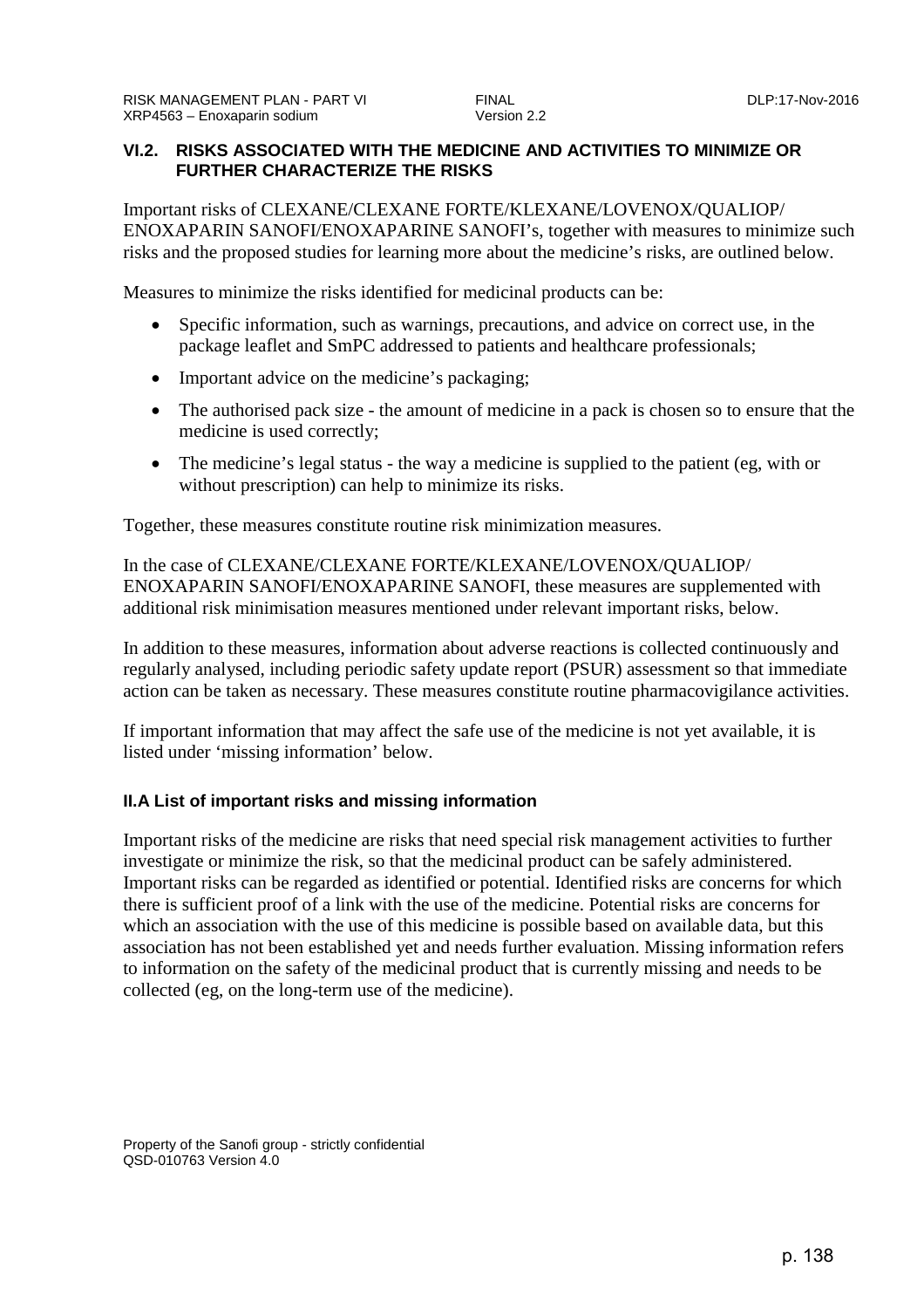### <span id="page-5-0"></span>**VI.2. RISKS ASSOCIATED WITH THE MEDICINE AND ACTIVITIES TO MINIMIZE OR FURTHER CHARACTERIZE THE RISKS**

Important risks of CLEXANE/CLEXANE FORTE/KLEXANE/LOVENOX/QUALIOP/ ENOXAPARIN SANOFI/ENOXAPARINE SANOFI's, together with measures to minimize such risks and the proposed studies for learning more about the medicine's risks, are outlined below.

Measures to minimize the risks identified for medicinal products can be:

- Specific information, such as warnings, precautions, and advice on correct use, in the package leaflet and SmPC addressed to patients and healthcare professionals;
- Important advice on the medicine's packaging;
- The authorised pack size the amount of medicine in a pack is chosen so to ensure that the medicine is used correctly;
- The medicine's legal status the way a medicine is supplied to the patient (eg, with or without prescription) can help to minimize its risks.

Together, these measures constitute routine risk minimization measures.

In the case of CLEXANE/CLEXANE FORTE/KLEXANE/LOVENOX/QUALIOP/ ENOXAPARIN SANOFI/ENOXAPARINE SANOFI, these measures are supplemented with additional risk minimisation measures mentioned under relevant important risks, below.

In addition to these measures, information about adverse reactions is collected continuously and regularly analysed, including periodic safety update report (PSUR) assessment so that immediate action can be taken as necessary. These measures constitute routine pharmacovigilance activities.

If important information that may affect the safe use of the medicine is not yet available, it is listed under 'missing information' below.

#### **II.A List of important risks and missing information**

Important risks of the medicine are risks that need special risk management activities to further investigate or minimize the risk, so that the medicinal product can be safely administered. Important risks can be regarded as identified or potential. Identified risks are concerns for which there is sufficient proof of a link with the use of the medicine. Potential risks are concerns for which an association with the use of this medicine is possible based on available data, but this association has not been established yet and needs further evaluation. Missing information refers to information on the safety of the medicinal product that is currently missing and needs to be collected (eg, on the long-term use of the medicine).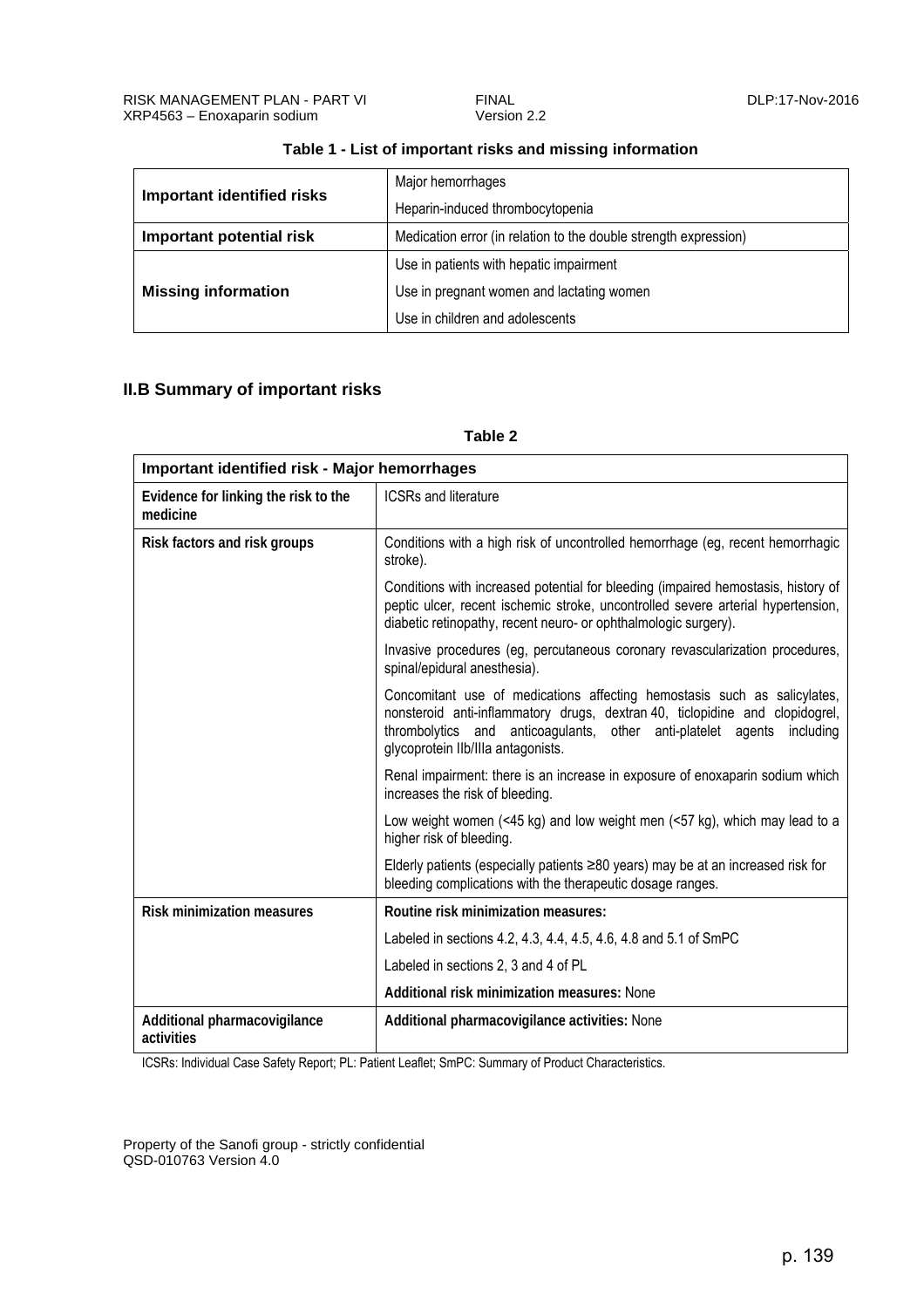<span id="page-6-0"></span>

| <b>Important identified risks</b> | Major hemorrhages                                                |
|-----------------------------------|------------------------------------------------------------------|
|                                   | Heparin-induced thrombocytopenia                                 |
| Important potential risk          | Medication error (in relation to the double strength expression) |
| <b>Missing information</b>        | Use in patients with hepatic impairment                          |
|                                   | Use in pregnant women and lactating women                        |
|                                   | Use in children and adolescents                                  |

#### **Table 1 - List of important risks and missing information**

### **II.B Summary of important risks**

#### **Table 2**

| <b>Important identified risk - Major hemorrhages</b> |                                                                                                                                                                                                                                                                             |
|------------------------------------------------------|-----------------------------------------------------------------------------------------------------------------------------------------------------------------------------------------------------------------------------------------------------------------------------|
| Evidence for linking the risk to the<br>medicine     | <b>ICSRs and literature</b>                                                                                                                                                                                                                                                 |
| Risk factors and risk groups                         | Conditions with a high risk of uncontrolled hemorrhage (eg. recent hemorrhagic<br>stroke).                                                                                                                                                                                  |
|                                                      | Conditions with increased potential for bleeding (impaired hemostasis, history of<br>peptic ulcer, recent ischemic stroke, uncontrolled severe arterial hypertension,<br>diabetic retinopathy, recent neuro- or ophthalmologic surgery).                                    |
|                                                      | Invasive procedures (eg, percutaneous coronary revascularization procedures,<br>spinal/epidural anesthesia).                                                                                                                                                                |
|                                                      | Concomitant use of medications affecting hemostasis such as salicylates,<br>nonsteroid anti-inflammatory drugs, dextran 40, ticlopidine and clopidogrel,<br>thrombolytics and anticoagulants, other anti-platelet agents<br>including<br>glycoprotein Ilb/IIIa antagonists. |
|                                                      | Renal impairment: there is an increase in exposure of enoxaparin sodium which<br>increases the risk of bleeding.                                                                                                                                                            |
|                                                      | Low weight women $($ <45 kg) and low weight men $($ <57 kg), which may lead to a<br>higher risk of bleeding.                                                                                                                                                                |
|                                                      | Elderly patients (especially patients $\geq 80$ years) may be at an increased risk for<br>bleeding complications with the therapeutic dosage ranges.                                                                                                                        |
| <b>Risk minimization measures</b>                    | Routine risk minimization measures:                                                                                                                                                                                                                                         |
|                                                      | Labeled in sections 4.2, 4.3, 4.4, 4.5, 4.6, 4.8 and 5.1 of SmPC                                                                                                                                                                                                            |
|                                                      | Labeled in sections 2, 3 and 4 of PL                                                                                                                                                                                                                                        |
|                                                      | Additional risk minimization measures: None                                                                                                                                                                                                                                 |
| Additional pharmacovigilance<br>activities           | Additional pharmacovigilance activities: None                                                                                                                                                                                                                               |

ICSRs: Individual Case Safety Report; PL: Patient Leaflet; SmPC: Summary of Product Characteristics.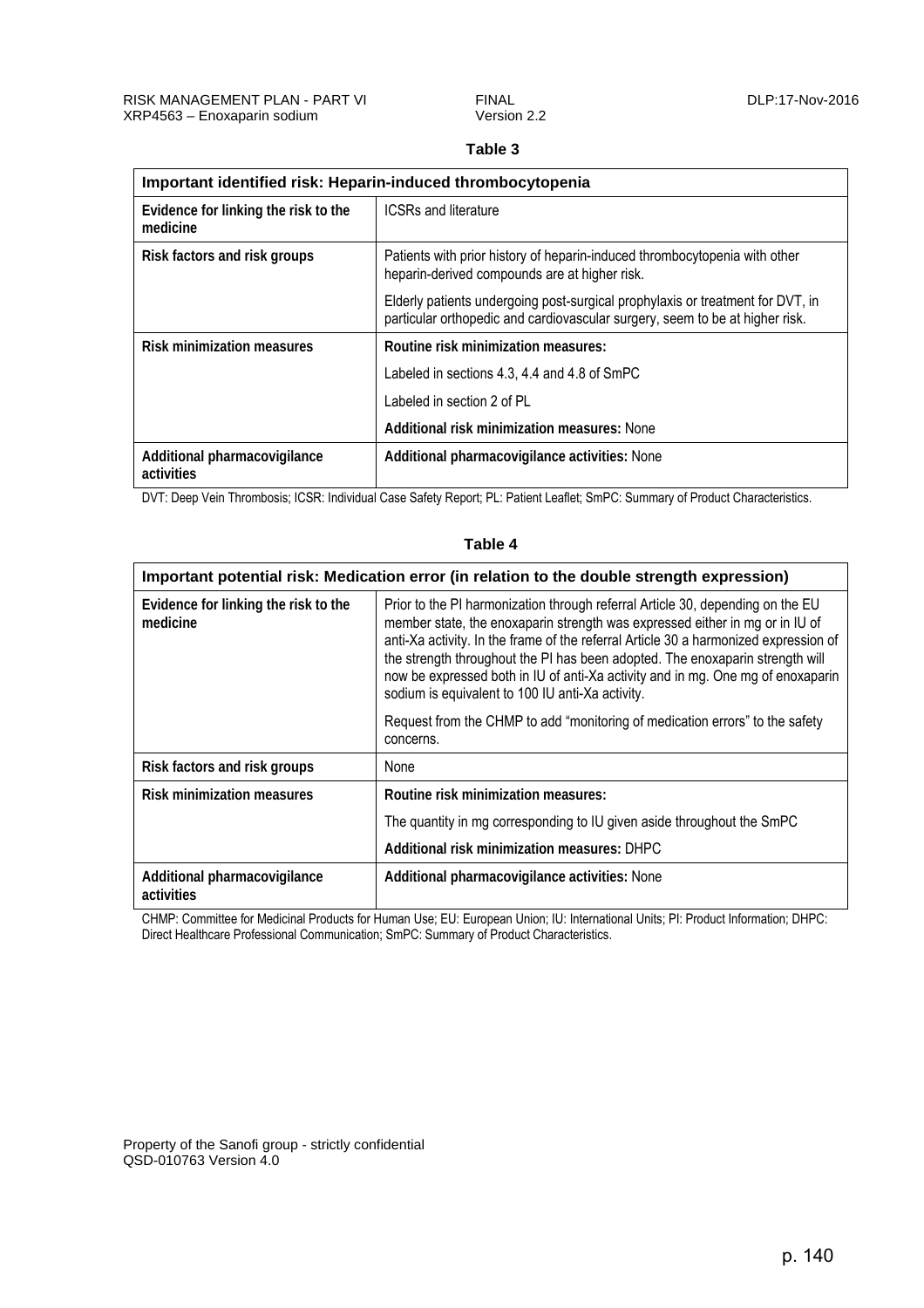## **Table 3**

<span id="page-7-0"></span>

| Important identified risk: Heparin-induced thrombocytopenia |                                                                                                                                                                |
|-------------------------------------------------------------|----------------------------------------------------------------------------------------------------------------------------------------------------------------|
| Evidence for linking the risk to the<br>medicine            | <b>ICSRs and literature</b>                                                                                                                                    |
| Risk factors and risk groups                                | Patients with prior history of heparin-induced thrombocytopenia with other<br>heparin-derived compounds are at higher risk.                                    |
|                                                             | Elderly patients undergoing post-surgical prophylaxis or treatment for DVT, in<br>particular orthopedic and cardiovascular surgery, seem to be at higher risk. |
| <b>Risk minimization measures</b>                           | Routine risk minimization measures:                                                                                                                            |
|                                                             | Labeled in sections 4.3, 4.4 and 4.8 of SmPC                                                                                                                   |
|                                                             | Labeled in section 2 of PL                                                                                                                                     |
|                                                             | Additional risk minimization measures: None                                                                                                                    |
| Additional pharmacovigilance<br>activities                  | Additional pharmacovigilance activities: None                                                                                                                  |

DVT: Deep Vein Thrombosis; ICSR: Individual Case Safety Report; PL: Patient Leaflet; SmPC: Summary of Product Characteristics.

| Important potential risk: Medication error (in relation to the double strength expression) |                                                                                                                                                                                                                                                                                                                                                                                                                                                                                |
|--------------------------------------------------------------------------------------------|--------------------------------------------------------------------------------------------------------------------------------------------------------------------------------------------------------------------------------------------------------------------------------------------------------------------------------------------------------------------------------------------------------------------------------------------------------------------------------|
| Evidence for linking the risk to the<br>medicine                                           | Prior to the PI harmonization through referral Article 30, depending on the EU<br>member state, the enoxaparin strength was expressed either in mg or in IU of<br>anti-Xa activity. In the frame of the referral Article 30 a harmonized expression of<br>the strength throughout the PI has been adopted. The enoxaparin strength will<br>now be expressed both in IU of anti-Xa activity and in mg. One mg of enoxaparin<br>sodium is equivalent to 100 IU anti-Xa activity. |
|                                                                                            | Request from the CHMP to add "monitoring of medication errors" to the safety<br>concerns.                                                                                                                                                                                                                                                                                                                                                                                      |
| Risk factors and risk groups                                                               | None                                                                                                                                                                                                                                                                                                                                                                                                                                                                           |
| <b>Risk minimization measures</b>                                                          | Routine risk minimization measures:                                                                                                                                                                                                                                                                                                                                                                                                                                            |
|                                                                                            | The quantity in mg corresponding to IU given aside throughout the SmPC                                                                                                                                                                                                                                                                                                                                                                                                         |
|                                                                                            | Additional risk minimization measures: DHPC                                                                                                                                                                                                                                                                                                                                                                                                                                    |
| Additional pharmacovigilance<br>activities                                                 | Additional pharmacovigilance activities: None                                                                                                                                                                                                                                                                                                                                                                                                                                  |

**Table 4** 

CHMP: Committee for Medicinal Products for Human Use; EU: European Union; IU: International Units; PI: Product Information; DHPC: Direct Healthcare Professional Communication; SmPC: Summary of Product Characteristics.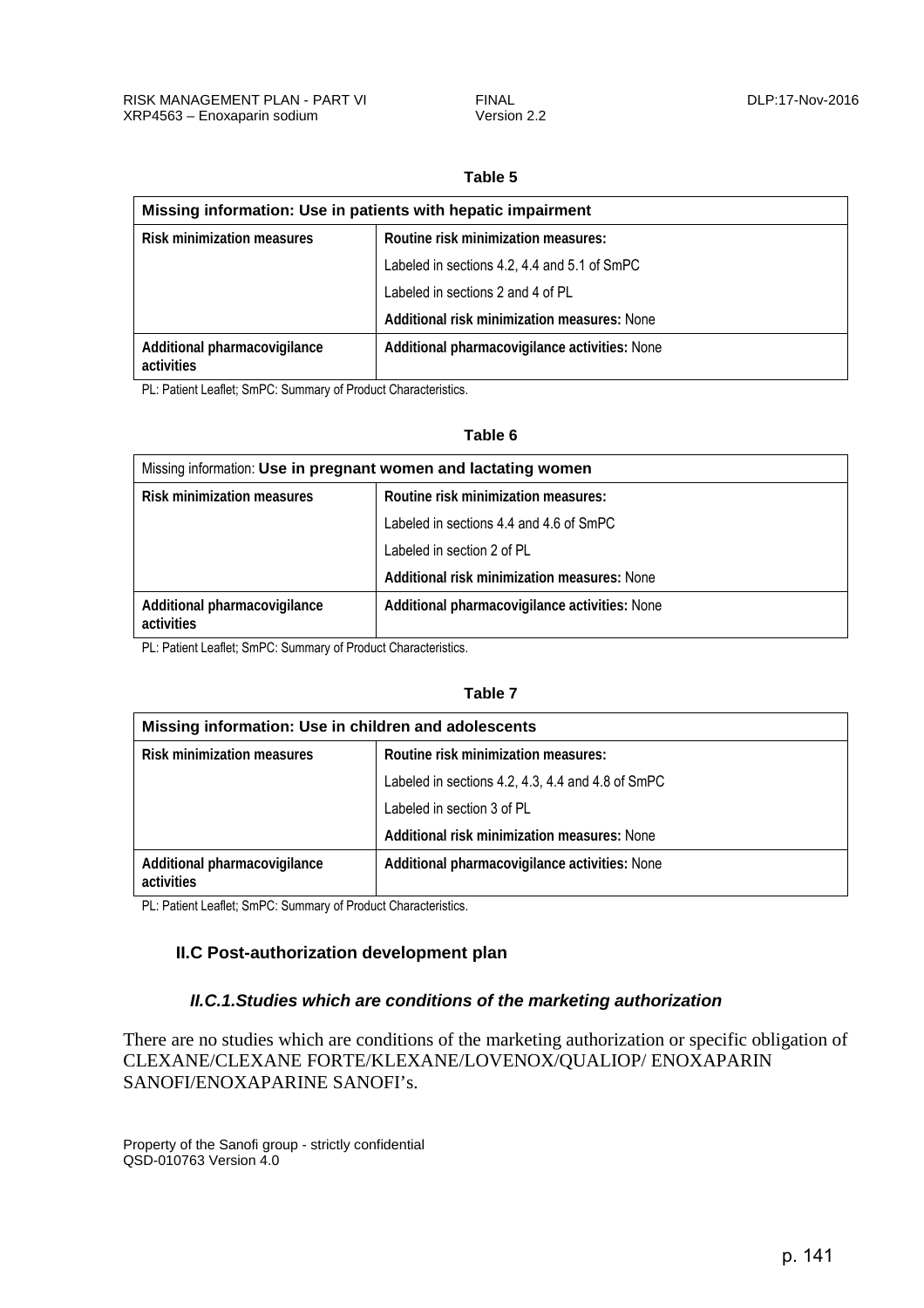#### **Table 5**

<span id="page-8-0"></span>

| Missing information: Use in patients with hepatic impairment |                                               |
|--------------------------------------------------------------|-----------------------------------------------|
| <b>Risk minimization measures</b>                            | Routine risk minimization measures:           |
|                                                              | Labeled in sections 4.2, 4.4 and 5.1 of SmPC  |
|                                                              | Labeled in sections 2 and 4 of PL             |
|                                                              | Additional risk minimization measures: None   |
| Additional pharmacovigilance<br>activities                   | Additional pharmacovigilance activities: None |

PL: Patient Leaflet; SmPC: Summary of Product Characteristics.

#### **Table 6**

| Missing information: Use in pregnant women and lactating women |                                               |
|----------------------------------------------------------------|-----------------------------------------------|
| <b>Risk minimization measures</b>                              | Routine risk minimization measures:           |
|                                                                | Labeled in sections 4.4 and 4.6 of SmPC       |
|                                                                | Labeled in section 2 of PL                    |
|                                                                | Additional risk minimization measures: None   |
| Additional pharmacovigilance<br>activities                     | Additional pharmacovigilance activities: None |

PL: Patient Leaflet; SmPC: Summary of Product Characteristics.

#### **Table 7**

| Missing information: Use in children and adolescents |                                                   |
|------------------------------------------------------|---------------------------------------------------|
| <b>Risk minimization measures</b>                    | Routine risk minimization measures:               |
|                                                      | Labeled in sections 4.2, 4.3, 4.4 and 4.8 of SmPC |
|                                                      | Labeled in section 3 of PL                        |
|                                                      | Additional risk minimization measures: None       |
| Additional pharmacovigilance<br>activities           | Additional pharmacovigilance activities: None     |

PL: Patient Leaflet; SmPC: Summary of Product Characteristics.

### **II.C Post-authorization development plan**

#### *II.C.1.Studies which are conditions of the marketing authorization*

There are no studies which are conditions of the marketing authorization or specific obligation of CLEXANE/CLEXANE FORTE/KLEXANE/LOVENOX/QUALIOP/ ENOXAPARIN SANOFI/ENOXAPARINE SANOFI's.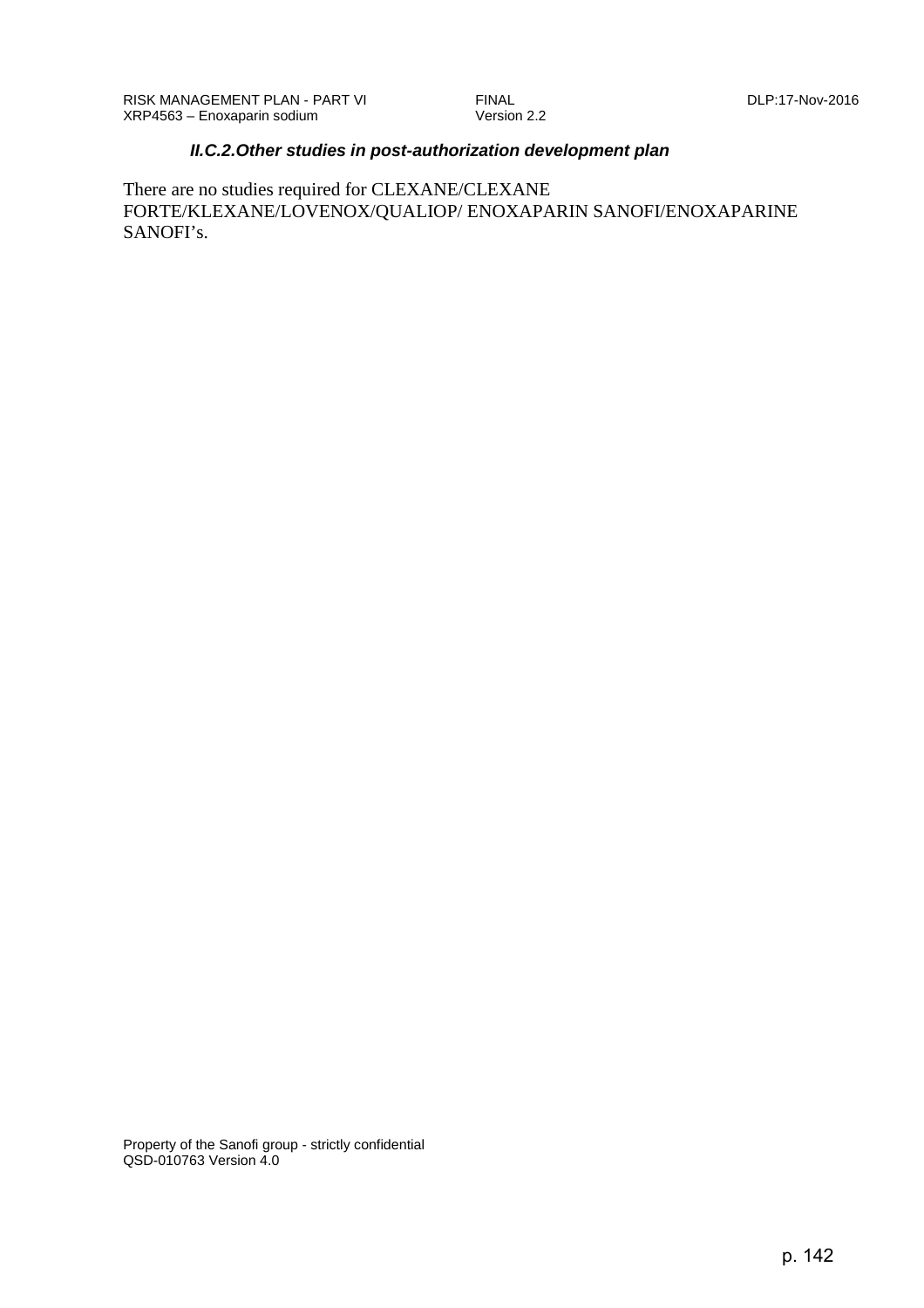#### *II.C.2.Other studies in post-authorization development plan*

<span id="page-9-0"></span>There are no studies required for CLEXANE/CLEXANE FORTE/KLEXANE/LOVENOX/QUALIOP/ ENOXAPARIN SANOFI/ENOXAPARINE SANOFI's.